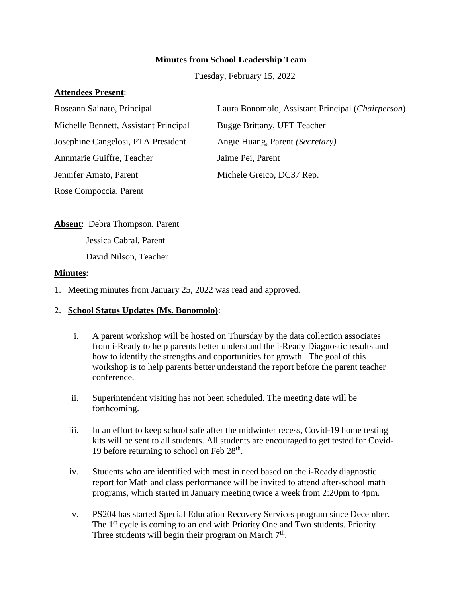### **Minutes from School Leadership Team**

Tuesday, February 15, 2022

#### **Attendees Present**:

| Roseann Sainato, Principal            | Laura Bonomolo, Assistant Principal (Chairperson) |
|---------------------------------------|---------------------------------------------------|
| Michelle Bennett, Assistant Principal | Bugge Brittany, UFT Teacher                       |
| Josephine Cangelosi, PTA President    | Angie Huang, Parent (Secretary)                   |
| Annmarie Guiffre, Teacher             | Jaime Pei, Parent                                 |
| Jennifer Amato, Parent                | Michele Greico, DC37 Rep.                         |
| Rose Compoccia, Parent                |                                                   |

**Absent**: Debra Thompson, Parent Jessica Cabral, Parent David Nilson, Teacher

#### **Minutes**:

1. Meeting minutes from January 25, 2022 was read and approved.

#### 2. **School Status Updates (Ms. Bonomolo)**:

- i. A parent workshop will be hosted on Thursday by the data collection associates from i-Ready to help parents better understand the i-Ready Diagnostic results and how to identify the strengths and opportunities for growth. The goal of this workshop is to help parents better understand the report before the parent teacher conference.
- ii. Superintendent visiting has not been scheduled. The meeting date will be forthcoming.
- iii. In an effort to keep school safe after the midwinter recess, Covid-19 home testing kits will be sent to all students. All students are encouraged to get tested for Covid-19 before returning to school on Feb  $28<sup>th</sup>$ .
- iv. Students who are identified with most in need based on the i-Ready diagnostic report for Math and class performance will be invited to attend after-school math programs, which started in January meeting twice a week from 2:20pm to 4pm.
- v. PS204 has started Special Education Recovery Services program since December. The 1<sup>st</sup> cycle is coming to an end with Priority One and Two students. Priority Three students will begin their program on March  $7<sup>th</sup>$ .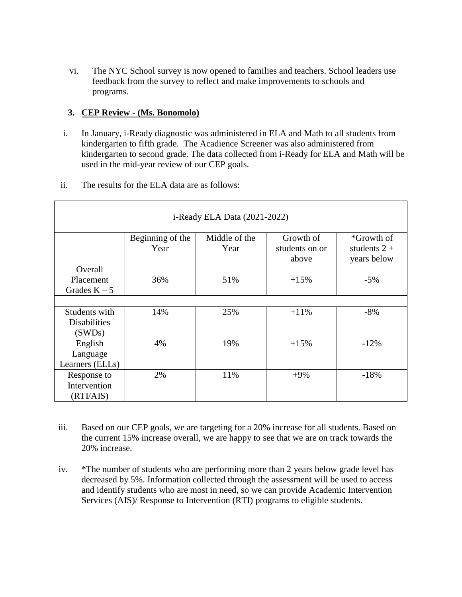vi. The NYC School survey is now opened to families and teachers. School leaders use feedback from the survey to reflect and make improvements to schools and programs.

# **3. CEP Review - (Ms. Bonomolo)**

- i. In January, i-Ready diagnostic was administered in ELA and Math to all students from kindergarten to fifth grade. The Acadience Screener was also administered from kindergarten to second grade. The data collected from i-Ready for ELA and Math will be used in the mid-year review of our CEP goals.
- ii. The results for the ELA data are as follows:

| i-Ready ELA Data (2021-2022)                   |                          |                       |                                      |                                             |  |  |
|------------------------------------------------|--------------------------|-----------------------|--------------------------------------|---------------------------------------------|--|--|
|                                                | Beginning of the<br>Year | Middle of the<br>Year | Growth of<br>students on or<br>above | *Growth of<br>students $2 +$<br>years below |  |  |
| Overall<br>Placement<br>Grades $K - 5$         | 36%                      | 51%                   | $+15%$                               | $-5\%$                                      |  |  |
| Students with<br><b>Disabilities</b><br>(SWDs) | 14%                      | 25%                   | $+11\%$                              | $-8%$                                       |  |  |
| English<br>Language<br>Learners (ELLs)         | 4%                       | 19%                   | $+15%$                               | $-12\%$                                     |  |  |
| Response to<br>Intervention<br>(RTI/ALS)       | 2%                       | 11%                   | $+9\%$                               | $-18%$                                      |  |  |

- iii. Based on our CEP goals, we are targeting for a 20% increase for all students. Based on the current 15% increase overall, we are happy to see that we are on track towards the 20% increase.
- iv. \*The number of students who are performing more than 2 years below grade level has decreased by 5%. Information collected through the assessment will be used to access and identify students who are most in need, so we can provide Academic Intervention Services (AIS)/ Response to Intervention (RTI) programs to eligible students.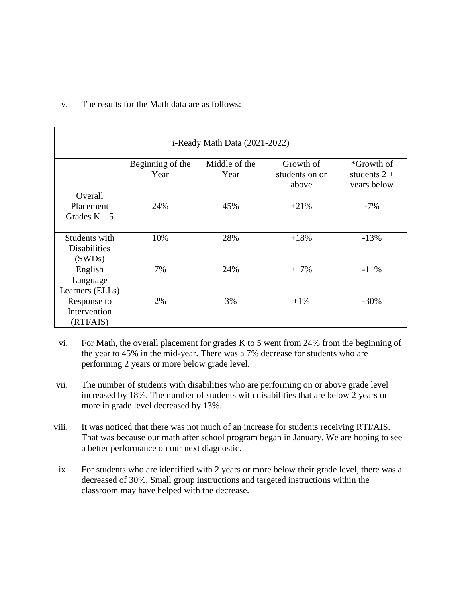| i-Ready Math Data (2021-2022) |                  |               |                |                |  |  |
|-------------------------------|------------------|---------------|----------------|----------------|--|--|
|                               | Beginning of the | Middle of the | Growth of      | *Growth of     |  |  |
|                               | Year             | Year          | students on or | students $2 +$ |  |  |
|                               |                  |               | above          | years below    |  |  |
| Overall                       |                  |               |                |                |  |  |
| Placement                     | 24%              | 45%           | $+21%$         | $-7\%$         |  |  |
| Grades $K - 5$                |                  |               |                |                |  |  |
|                               |                  |               |                |                |  |  |
| Students with                 | 10%              | 28%           | $+18%$         | $-13%$         |  |  |
| <b>Disabilities</b>           |                  |               |                |                |  |  |
| (SWDs)                        |                  |               |                |                |  |  |
| English                       | 7%               | 24%           | $+17%$         | $-11%$         |  |  |
| Language                      |                  |               |                |                |  |  |
| Learners (ELLs)               |                  |               |                |                |  |  |
| Response to                   | 2%               | 3%            | $+1\%$         | $-30%$         |  |  |
| Intervention                  |                  |               |                |                |  |  |
| (RTI/ALS)                     |                  |               |                |                |  |  |

# v. The results for the Math data are as follows:

- vi. For Math, the overall placement for grades K to 5 went from 24% from the beginning of the year to 45% in the mid-year. There was a 7% decrease for students who are performing 2 years or more below grade level.
- vii. The number of students with disabilities who are performing on or above grade level increased by 18%. The number of students with disabilities that are below 2 years or more in grade level decreased by 13%.
- viii. It was noticed that there was not much of an increase for students receiving RTI/AIS. That was because our math after school program began in January. We are hoping to see a better performance on our next diagnostic.
- ix. For students who are identified with 2 years or more below their grade level, there was a decreased of 30%. Small group instructions and targeted instructions within the classroom may have helped with the decrease.